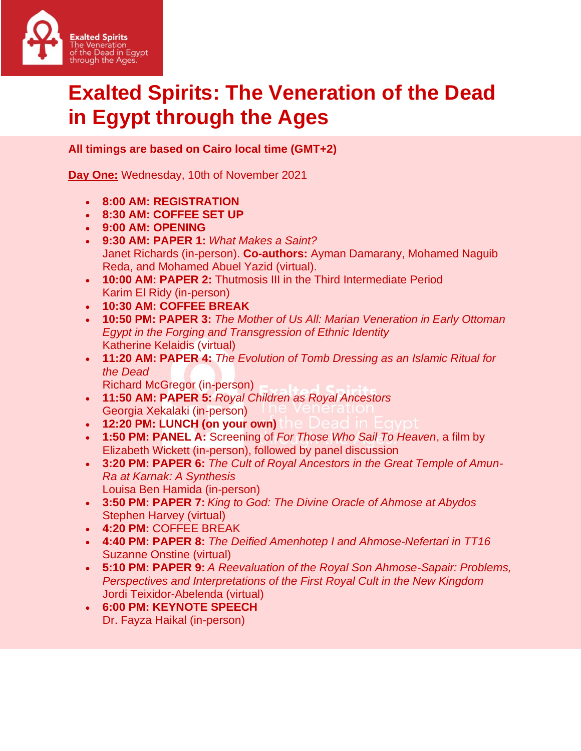

## **Exalted Spirits: The Veneration of the Dead in Egypt through the Ages**

**All timings are based on Cairo local time (GMT+2)**

**Day One:** Wednesday, 10th of November 2021

- **8:00 AM: REGISTRATION**
- **8:30 AM: COFFEE SET UP**
- **9:00 AM: OPENING**
- **9:30 AM: PAPER 1:** *What Makes a Saint?* Janet Richards (in-person). **Co-authors:** Ayman Damarany, Mohamed Naguib Reda, and Mohamed Abuel Yazid (virtual).
- **10:00 AM: PAPER 2:** Thutmosis III in the Third Intermediate Period Karim El Ridy (in-person)
- **10:30 AM: COFFEE BREAK**
- **10:50 PM: PAPER 3:** *The Mother of Us All: Marian Veneration in Early Ottoman Egypt in the Forging and Transgression of Ethnic Identity* Katherine Kelaidis (virtual)
- **11:20 AM: PAPER 4:** *The Evolution of Tomb Dressing as an Islamic Ritual for the Dead*
	- Richard McGregor (in-person)
- **11:50 AM: PAPER 5:** *Royal Children as Royal Ancestors* Georgia Xekalaki (in-person)
- **12:20 PM: LUNCH (on your own)**
- **1:50 PM: PANEL A:** Screening of *For Those Who Sail To Heaven*, a film by Elizabeth Wickett (in-person), followed by panel discussion
- **3:20 PM: PAPER 6:** *The Cult of Royal Ancestors in the Great Temple of Amun-Ra at Karnak: A Synthesis* Louisa Ben Hamida (in-person)
- **3:50 PM: PAPER 7:** *King to God: The Divine Oracle of Ahmose at Abydos* Stephen Harvey (virtual)
- **4:20 PM:** COFFEE BREAK
- **4:40 PM: PAPER 8:** *The Deified Amenhotep I and Ahmose-Nefertari in TT16* Suzanne Onstine (virtual)
- **5:10 PM: PAPER 9:** *A Reevaluation of the Royal Son Ahmose-Sapair: Problems, Perspectives and Interpretations of the First Royal Cult in the New Kingdom* Jordi Teixidor-Abelenda (virtual)
- **6:00 PM: KEYNOTE SPEECH** Dr. Fayza Haikal (in-person)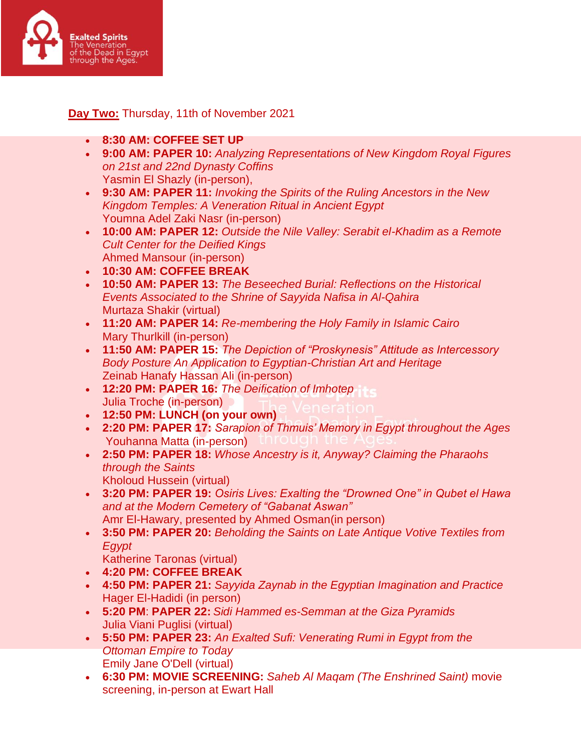

**Day Two:** Thursday, 11th of November 2021

- **8:30 AM: COFFEE SET UP**
- **9:00 AM: PAPER 10:** *Analyzing Representations of New Kingdom Royal Figures on 21st and 22nd Dynasty Coffins* Yasmin El Shazly (in-person),
- **9:30 AM: PAPER 11:** *Invoking the Spirits of the Ruling Ancestors in the New Kingdom Temples: A Veneration Ritual in Ancient Egypt* Youmna Adel Zaki Nasr (in-person)
- **10:00 AM: PAPER 12:** *Outside the Nile Valley: Serabit el-Khadim as a Remote Cult Center for the Deified Kings* Ahmed Mansour (in-person)
- **10:30 AM: COFFEE BREAK**
- **10:50 AM: PAPER 13:** *The Beseeched Burial: Reflections on the Historical Events Associated to the Shrine of Sayyida Nafisa in Al-Qahira* Murtaza Shakir (virtual)
- **11:20 AM: PAPER 14:** *Re-membering the Holy Family in Islamic Cairo* Mary Thurlkill (in-person)
- **11:50 AM: PAPER 15:** *The Depiction of "Proskynesis" Attitude as Intercessory Body Posture An Application to Egyptian-Christian Art and Heritage* Zeinab Hanafy Hassan Ali (in-person)
- **12:20 PM: PAPER 16:** *The Deification of Imhotep* Julia Troche (in-person)
- **12:50 PM: LUNCH (on your own)**
- **2:20 PM: PAPER 17:** *Sarapion of Thmuis' Memory in Egypt throughout the Ages* Youhanna Matta (in-person)
- **2:50 PM: PAPER 18:** *Whose Ancestry is it, Anyway? Claiming the Pharaohs through the Saints* Kholoud Hussein (virtual)
- **3:20 PM: PAPER 19:** *Osiris Lives: Exalting the "Drowned One" in Qubet el Hawa and at the Modern Cemetery of "Gabanat Aswan"* Amr El-Hawary, presented by Ahmed Osman(in person)
- **3:50 PM: PAPER 20:** *Beholding the Saints on Late Antique Votive Textiles from Egypt*
	- Katherine Taronas (virtual)
- **4:20 PM: COFFEE BREAK**
- **4:50 PM: PAPER 21:** *Sayyida Zaynab in the Egyptian Imagination and Practice* Hager El-Hadidi (in person)
- **5:20 PM**: **PAPER 22:** *Sidi Hammed es-Semman at the Giza Pyramids* Julia Viani Puglisi (virtual)
- **5:50 PM: PAPER 23:** *An Exalted Sufi: Venerating Rumi in Egypt from the Ottoman Empire to Today* Emily Jane O'Dell (virtual)
- **6:30 PM: MOVIE SCREENING:** *Saheb Al Maqam (The Enshrined Saint)* movie screening, in-person at Ewart Hall